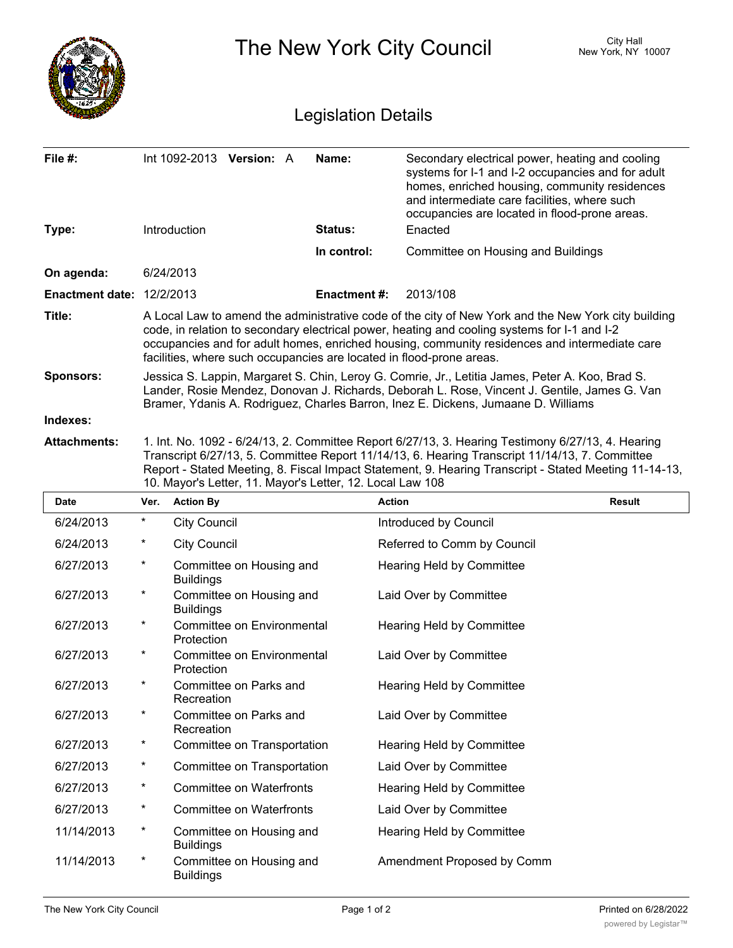|                                  |                                                                                                                                                                                                                                                                                                                                                                              |                                                                                                                                                                                                                                                                                      |                    | The New York City Council                                                                                                                                                                                                                              | City Hall<br>New York, NY 10007 |  |  |
|----------------------------------|------------------------------------------------------------------------------------------------------------------------------------------------------------------------------------------------------------------------------------------------------------------------------------------------------------------------------------------------------------------------------|--------------------------------------------------------------------------------------------------------------------------------------------------------------------------------------------------------------------------------------------------------------------------------------|--------------------|--------------------------------------------------------------------------------------------------------------------------------------------------------------------------------------------------------------------------------------------------------|---------------------------------|--|--|
| <b>Legislation Details</b>       |                                                                                                                                                                                                                                                                                                                                                                              |                                                                                                                                                                                                                                                                                      |                    |                                                                                                                                                                                                                                                        |                                 |  |  |
| File #:                          |                                                                                                                                                                                                                                                                                                                                                                              | Int 1092-2013 Version: A                                                                                                                                                                                                                                                             | Name:              | Secondary electrical power, heating and cooling<br>systems for I-1 and I-2 occupancies and for adult<br>homes, enriched housing, community residences<br>and intermediate care facilities, where such<br>occupancies are located in flood-prone areas. |                                 |  |  |
| Type:                            |                                                                                                                                                                                                                                                                                                                                                                              | Introduction                                                                                                                                                                                                                                                                         | Status:            | Enacted                                                                                                                                                                                                                                                |                                 |  |  |
|                                  |                                                                                                                                                                                                                                                                                                                                                                              |                                                                                                                                                                                                                                                                                      | In control:        | Committee on Housing and Buildings                                                                                                                                                                                                                     |                                 |  |  |
| On agenda:                       |                                                                                                                                                                                                                                                                                                                                                                              | 6/24/2013                                                                                                                                                                                                                                                                            |                    |                                                                                                                                                                                                                                                        |                                 |  |  |
| <b>Enactment date: 12/2/2013</b> |                                                                                                                                                                                                                                                                                                                                                                              |                                                                                                                                                                                                                                                                                      | <b>Enactment#:</b> | 2013/108                                                                                                                                                                                                                                               |                                 |  |  |
| Title:                           | A Local Law to amend the administrative code of the city of New York and the New York city building<br>code, in relation to secondary electrical power, heating and cooling systems for I-1 and I-2<br>occupancies and for adult homes, enriched housing, community residences and intermediate care<br>facilities, where such occupancies are located in flood-prone areas. |                                                                                                                                                                                                                                                                                      |                    |                                                                                                                                                                                                                                                        |                                 |  |  |
| <b>Sponsors:</b>                 |                                                                                                                                                                                                                                                                                                                                                                              | Jessica S. Lappin, Margaret S. Chin, Leroy G. Comrie, Jr., Letitia James, Peter A. Koo, Brad S.<br>Lander, Rosie Mendez, Donovan J. Richards, Deborah L. Rose, Vincent J. Gentile, James G. Van<br>Bramer, Ydanis A. Rodriguez, Charles Barron, Inez E. Dickens, Jumaane D. Williams |                    |                                                                                                                                                                                                                                                        |                                 |  |  |
| Indexes:                         |                                                                                                                                                                                                                                                                                                                                                                              |                                                                                                                                                                                                                                                                                      |                    |                                                                                                                                                                                                                                                        |                                 |  |  |
| <b>Attachments:</b>              | 1. Int. No. 1092 - 6/24/13, 2. Committee Report 6/27/13, 3. Hearing Testimony 6/27/13, 4. Hearing<br>Transcript 6/27/13, 5. Committee Report 11/14/13, 6. Hearing Transcript 11/14/13, 7. Committee<br>Report - Stated Meeting, 8. Fiscal Impact Statement, 9. Hearing Transcript - Stated Meeting 11-14-13,<br>10. Mayor's Letter, 11. Mayor's Letter, 12. Local Law 108    |                                                                                                                                                                                                                                                                                      |                    |                                                                                                                                                                                                                                                        |                                 |  |  |
| Date                             | Ver.                                                                                                                                                                                                                                                                                                                                                                         | <b>Action By</b>                                                                                                                                                                                                                                                                     |                    | <b>Action</b>                                                                                                                                                                                                                                          | <b>Result</b>                   |  |  |
| 6/24/2013                        | *                                                                                                                                                                                                                                                                                                                                                                            | <b>City Council</b>                                                                                                                                                                                                                                                                  |                    | Introduced by Council                                                                                                                                                                                                                                  |                                 |  |  |
| 6/24/2013                        |                                                                                                                                                                                                                                                                                                                                                                              | <b>City Council</b>                                                                                                                                                                                                                                                                  |                    | Referred to Comm by Council                                                                                                                                                                                                                            |                                 |  |  |
| 6/27/2013                        | *                                                                                                                                                                                                                                                                                                                                                                            | Committee on Housing and<br><b>Buildings</b>                                                                                                                                                                                                                                         |                    | Hearing Held by Committee                                                                                                                                                                                                                              |                                 |  |  |
| 6/27/2013                        | $\ast$                                                                                                                                                                                                                                                                                                                                                                       | Committee on Housing and<br><b>Buildings</b>                                                                                                                                                                                                                                         |                    | Laid Over by Committee                                                                                                                                                                                                                                 |                                 |  |  |
| 6/27/2013                        | $\star$                                                                                                                                                                                                                                                                                                                                                                      | Committee on Environmental<br>Protection                                                                                                                                                                                                                                             |                    | Hearing Held by Committee                                                                                                                                                                                                                              |                                 |  |  |
| 6/27/2013                        | $\star$                                                                                                                                                                                                                                                                                                                                                                      | Committee on Environmental<br>Protection                                                                                                                                                                                                                                             |                    | Laid Over by Committee                                                                                                                                                                                                                                 |                                 |  |  |
| 6/27/2013                        | $\star$                                                                                                                                                                                                                                                                                                                                                                      | Committee on Parks and<br>Recreation                                                                                                                                                                                                                                                 |                    | Hearing Held by Committee                                                                                                                                                                                                                              |                                 |  |  |
| 6/27/2013                        | $\star$                                                                                                                                                                                                                                                                                                                                                                      | Committee on Parks and<br>Recreation                                                                                                                                                                                                                                                 |                    | Laid Over by Committee                                                                                                                                                                                                                                 |                                 |  |  |
| 6/27/2013                        | $\ast$                                                                                                                                                                                                                                                                                                                                                                       | Committee on Transportation                                                                                                                                                                                                                                                          |                    | Hearing Held by Committee                                                                                                                                                                                                                              |                                 |  |  |
| 6/27/2013                        | $\ast$                                                                                                                                                                                                                                                                                                                                                                       | Committee on Transportation                                                                                                                                                                                                                                                          |                    | Laid Over by Committee                                                                                                                                                                                                                                 |                                 |  |  |
| 6/27/2013                        | $\ast$                                                                                                                                                                                                                                                                                                                                                                       | <b>Committee on Waterfronts</b>                                                                                                                                                                                                                                                      |                    | Hearing Held by Committee                                                                                                                                                                                                                              |                                 |  |  |
| 6/27/2013                        | $^\star$                                                                                                                                                                                                                                                                                                                                                                     | <b>Committee on Waterfronts</b>                                                                                                                                                                                                                                                      |                    | Laid Over by Committee                                                                                                                                                                                                                                 |                                 |  |  |
| 11/14/2013                       | $^\star$                                                                                                                                                                                                                                                                                                                                                                     | Committee on Housing and<br><b>Buildings</b>                                                                                                                                                                                                                                         |                    | Hearing Held by Committee                                                                                                                                                                                                                              |                                 |  |  |
| 11/14/2013                       | $\ast$                                                                                                                                                                                                                                                                                                                                                                       | Committee on Housing and<br><b>Buildings</b>                                                                                                                                                                                                                                         |                    | Amendment Proposed by Comm                                                                                                                                                                                                                             |                                 |  |  |